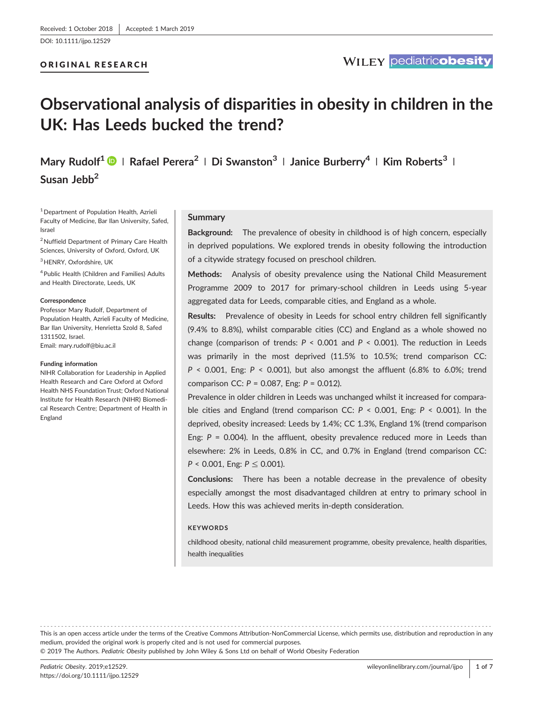[DOI: 10.1111/ijpo.12529](https://doi.org/10.1111/ijpo.12529)

## ORIGINAL RESEARCH

# Observational analysis of disparities in obesity in children in the UK: Has Leeds bucked the trend?

Mary Rudolf<sup>1</sup>  $\bullet$  | Rafael Perera<sup>2</sup> | Di Swanston<sup>3</sup> | Janice Burberry<sup>4</sup> | Kim Roberts<sup>3</sup> | Susan Jebb<sup>2</sup>

1Department of Population Health, Azrieli Faculty of Medicine, Bar Ilan University, Safed, Israel

<sup>2</sup> Nuffield Department of Primary Care Health Sciences, University of Oxford, Oxford, UK

<sup>3</sup> HENRY, Oxfordshire, UK

4Public Health (Children and Families) Adults and Health Directorate, Leeds, UK

#### **Correspondence**

Professor Mary Rudolf, Department of Population Health, Azrieli Faculty of Medicine, Bar Ilan University, Henrietta Szold 8, Safed 1311502, Israel. Email: [mary.rudolf@biu.ac.il](mailto:mary.rudolf@biu.ac.il)

#### Funding information

NIHR Collaboration for Leadership in Applied Health Research and Care Oxford at Oxford Health NHS Foundation Trust; Oxford National Institute for Health Research (NIHR) Biomedical Research Centre; Department of Health in England

#### Summary

Background: The prevalence of obesity in childhood is of high concern, especially in deprived populations. We explored trends in obesity following the introduction of a citywide strategy focused on preschool children.

Methods: Analysis of obesity prevalence using the National Child Measurement Programme 2009 to 2017 for primary‐school children in Leeds using 5‐year aggregated data for Leeds, comparable cities, and England as a whole.

Results: Prevalence of obesity in Leeds for school entry children fell significantly (9.4% to 8.8%), whilst comparable cities (CC) and England as a whole showed no change (comparison of trends:  $P < 0.001$  and  $P < 0.001$ ). The reduction in Leeds was primarily in the most deprived (11.5% to 10.5%; trend comparison CC:  $P \le 0.001$ , Eng:  $P \le 0.001$ ), but also amongst the affluent (6.8% to 6.0%; trend comparison CC:  $P = 0.087$ , Eng:  $P = 0.012$ ).

Prevalence in older children in Leeds was unchanged whilst it increased for comparable cities and England (trend comparison CC:  $P < 0.001$ , Eng:  $P < 0.001$ ). In the deprived, obesity increased: Leeds by 1.4%; CC 1.3%, England 1% (trend comparison Eng:  $P = 0.004$ ). In the affluent, obesity prevalence reduced more in Leeds than elsewhere: 2% in Leeds, 0.8% in CC, and 0.7% in England (trend comparison CC:  $P < 0.001$ , Eng:  $P \le 0.001$ ).

Conclusions: There has been a notable decrease in the prevalence of obesity especially amongst the most disadvantaged children at entry to primary school in Leeds. How this was achieved merits in‐depth consideration.

#### **KEYWORDS**

childhood obesity, national child measurement programme, obesity prevalence, health disparities, health inequalities

------------------------------------------------------------------------------------------------------------------------------- - This is an open access article under the terms of the [Creative Commons Attribution](http://creativecommons.org/licenses/by-nc/4.0/)‐NonCommercial License, which permits use, distribution and reproduction in any medium, provided the original work is properly cited and is not used for commercial purposes.

© 2019 The Authors. Pediatric Obesity published by John Wiley & Sons Ltd on behalf of World Obesity Federation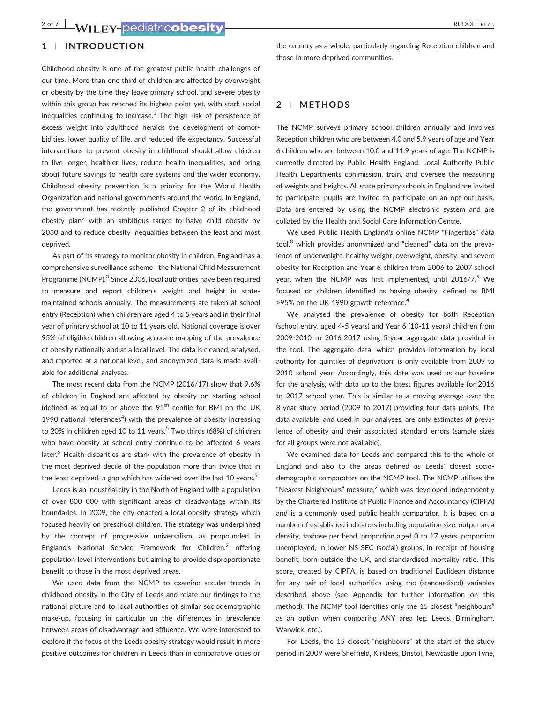# **2 of 7 WILEY-**pediatricobesity **Example 2008** RUDOLF ET AL.

# 1 | INTRODUCTION

Childhood obesity is one of the greatest public health challenges of our time. More than one third of children are affected by overweight or obesity by the time they leave primary school, and severe obesity within this group has reached its highest point yet, with stark social inequalities continuing to increase. $<sup>1</sup>$  The high risk of persistence of</sup> excess weight into adulthood heralds the development of comorbidities, lower quality of life, and reduced life expectancy. Successful interventions to prevent obesity in childhood should allow children to live longer, healthier lives, reduce health inequalities, and bring about future savings to health care systems and the wider economy. Childhood obesity prevention is a priority for the World Health Organization and national governments around the world. In England, the government has recently published Chapter 2 of its childhood obesity plan<sup>2</sup> with an ambitious target to halve child obesity by 2030 and to reduce obesity inequalities between the least and most deprived.

As part of its strategy to monitor obesity in children, England has a comprehensive surveillance scheme—the National Child Measurement Programme (NCMP).<sup>3</sup> Since 2006, local authorities have been required to measure and report children's weight and height in state‐ maintained schools annually. The measurements are taken at school entry (Reception) when children are aged 4 to 5 years and in their final year of primary school at 10 to 11 years old. National coverage is over 95% of eligible children allowing accurate mapping of the prevalence of obesity nationally and at a local level. The data is cleaned, analysed, and reported at a national level, and anonymized data is made available for additional analyses.

The most recent data from the NCMP (2016/17) show that 9.6% of children in England are affected by obesity on starting school (defined as equal to or above the  $95<sup>th</sup>$  centile for BMI on the UK 1990 national references $4$ ) with the prevalence of obesity increasing to 20% in children aged 10 to 11 years.<sup>5</sup> Two thirds (68%) of children who have obesity at school entry continue to be affected 6 years later.<sup>6</sup> Health disparities are stark with the prevalence of obesity in the most deprived decile of the population more than twice that in the least deprived, a gap which has widened over the last 10 years.<sup>5</sup>

Leeds is an industrial city in the North of England with a population of over 800 000 with significant areas of disadvantage within its boundaries. In 2009, the city enacted a local obesity strategy which focused heavily on preschool children. The strategy was underpinned by the concept of progressive universalism, as propounded in England's National Service Framework for Children, $\frac{7}{7}$  offering population‐level interventions but aiming to provide disproportionate benefit to those in the most deprived areas.

We used data from the NCMP to examine secular trends in childhood obesity in the City of Leeds and relate our findings to the national picture and to local authorities of similar sociodemographic make‐up, focusing in particular on the differences in prevalence between areas of disadvantage and affluence. We were interested to explore if the focus of the Leeds obesity strategy would result in more positive outcomes for children in Leeds than in comparative cities or

the country as a whole, particularly regarding Reception children and those in more deprived communities.

#### 2 | METHODS

The NCMP surveys primary school children annually and involves Reception children who are between 4.0 and 5.9 years of age and Year 6 children who are between 10.0 and 11.9 years of age. The NCMP is currently directed by Public Health England. Local Authority Public Health Departments commission, train, and oversee the measuring of weights and heights. All state primary schools in England are invited to participate; pupils are invited to participate on an opt-out basis. Data are entered by using the NCMP electronic system and are collated by the Health and Social Care Information Centre.

We used Public Health England's online NCMP "Fingertips" data tool, $8$  which provides anonymized and "cleaned" data on the prevalence of underweight, healthy weight, overweight, obesity, and severe obesity for Reception and Year 6 children from 2006 to 2007 school year, when the NCMP was first implemented, until 2016/7.<sup>5</sup> We focused on children identified as having obesity, defined as BMI >95% on the UK 1990 growth reference.<sup>4</sup>

We analysed the prevalence of obesity for both Reception (school entry, aged 4‐5 years) and Year 6 (10‐11 years) children from 2009‐2010 to 2016‐2017 using 5‐year aggregate data provided in the tool. The aggregate data, which provides information by local authority for quintiles of deprivation, is only available from 2009 to 2010 school year. Accordingly, this date was used as our baseline for the analysis, with data up to the latest figures available for 2016 to 2017 school year. This is similar to a moving average over the 8‐year study period (2009 to 2017) providing four data points. The data available, and used in our analyses, are only estimates of prevalence of obesity and their associated standard errors (sample sizes for all groups were not available).

We examined data for Leeds and compared this to the whole of England and also to the areas defined as Leeds' closest sociodemographic comparators on the NCMP tool. The NCMP utilises the "Nearest Neighbours" measure,<sup>9</sup> which was developed independently by the Chartered Institute of Public Finance and Accountancy (CIPFA) and is a commonly used public health comparator. It is based on a number of established indicators including population size, output area density, taxbase per head, proportion aged 0 to 17 years, proportion unemployed, in lower NS‐SEC (social) groups, in receipt of housing benefit, born outside the UK, and standardised mortality ratio. This score, created by CIPFA, is based on traditional Euclidean distance for any pair of local authorities using the (standardised) variables described above (see Appendix for further information on this method). The NCMP tool identifies only the 15 closest "neighbours" as an option when comparing ANY area (eg, Leeds, Birmingham, Warwick, etc.).

For Leeds, the 15 closest "neighbours" at the start of the study period in 2009 were Sheffield, Kirklees, Bristol, Newcastle upon Tyne,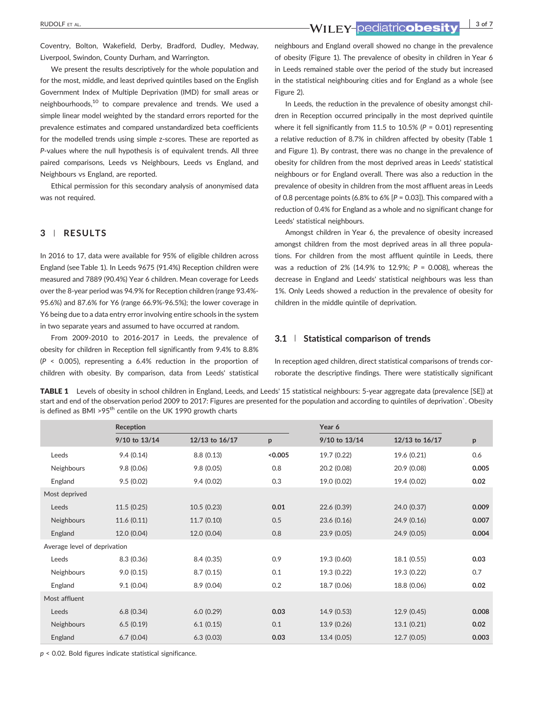Coventry, Bolton, Wakefield, Derby, Bradford, Dudley, Medway, Liverpool, Swindon, County Durham, and Warrington.

We present the results descriptively for the whole population and for the most, middle, and least deprived quintiles based on the English Government Index of Multiple Deprivation (IMD) for small areas or neighbourhoods,<sup>10</sup> to compare prevalence and trends. We used a simple linear model weighted by the standard errors reported for the prevalence estimates and compared unstandardized beta coefficients for the modelled trends using simple z‐scores. These are reported as P-values where the null hypothesis is of equivalent trends. All three paired comparisons, Leeds vs Neighbours, Leeds vs England, and Neighbours vs England, are reported.

Ethical permission for this secondary analysis of anonymised data was not required.

#### 3 | RESULTS

In 2016 to 17, data were available for 95% of eligible children across England (see Table 1). In Leeds 9675 (91.4%) Reception children were measured and 7889 (90.4%) Year 6 children. Mean coverage for Leeds over the 8‐year period was 94.9% for Reception children (range 93.4%‐ 95.6%) and 87.6% for Y6 (range 66.9%‐96.5%); the lower coverage in Y6 being due to a data entry error involving entire schools in the system in two separate years and assumed to have occurred at random.

From 2009‐2010 to 2016‐2017 in Leeds, the prevalence of obesity for children in Reception fell significantly from 9.4% to 8.8%  $(P < 0.005)$ , representing a 6.4% reduction in the proportion of children with obesity. By comparison, data from Leeds' statistical

neighbours and England overall showed no change in the prevalence of obesity (Figure 1). The prevalence of obesity in children in Year 6 in Leeds remained stable over the period of the study but increased in the statistical neighbouring cities and for England as a whole (see Figure 2).

In Leeds, the reduction in the prevalence of obesity amongst children in Reception occurred principally in the most deprived quintile where it fell significantly from 11.5 to 10.5% ( $P = 0.01$ ) representing a relative reduction of 8.7% in children affected by obesity (Table 1 and Figure 1). By contrast, there was no change in the prevalence of obesity for children from the most deprived areas in Leeds' statistical neighbours or for England overall. There was also a reduction in the prevalence of obesity in children from the most affluent areas in Leeds of 0.8 percentage points (6.8% to 6%  $[P = 0.03]$ ). This compared with a reduction of 0.4% for England as a whole and no significant change for Leeds' statistical neighbours.

Amongst children in Year 6, the prevalence of obesity increased amongst children from the most deprived areas in all three populations. For children from the most affluent quintile in Leeds, there was a reduction of 2% (14.9% to 12.9%;  $P = 0.008$ ), whereas the decrease in England and Leeds' statistical neighbours was less than 1%. Only Leeds showed a reduction in the prevalence of obesity for children in the middle quintile of deprivation.

#### 3.1 | Statistical comparison of trends

In reception aged children, direct statistical comparisons of trends corroborate the descriptive findings. There were statistically significant

TABLE 1 Levels of obesity in school children in England, Leeds, and Leeds' 15 statistical neighbours: 5-year aggregate data (prevalence [SE]) at start and end of the observation period 2009 to 2017: Figures are presented for the population and according to quintiles of deprivation`. Obesity is defined as BMI >95<sup>th</sup> centile on the UK 1990 growth charts

|                              | Reception     |                |         | Year 6        |                |       |  |
|------------------------------|---------------|----------------|---------|---------------|----------------|-------|--|
|                              | 9/10 to 13/14 | 12/13 to 16/17 | p       | 9/10 to 13/14 | 12/13 to 16/17 | p     |  |
| Leeds                        | 9.4(0.14)     | 8.8(0.13)      | < 0.005 | 19.7 (0.22)   | 19.6 (0.21)    | 0.6   |  |
| Neighbours                   | 9.8(0.06)     | 9.8(0.05)      | 0.8     | 20.2 (0.08)   | 20.9 (0.08)    | 0.005 |  |
| England                      | 9.5(0.02)     | 9.4(0.02)      | 0.3     | 19.0 (0.02)   | 19.4 (0.02)    | 0.02  |  |
| Most deprived                |               |                |         |               |                |       |  |
| Leeds                        | 11.5(0.25)    | 10.5(0.23)     | 0.01    | 22.6 (0.39)   | 24.0 (0.37)    | 0.009 |  |
| Neighbours                   | 11.6(0.11)    | 11.7(0.10)     | 0.5     | 23.6 (0.16)   | 24.9 (0.16)    | 0.007 |  |
| England                      | 12.0 (0.04)   | 12.0 (0.04)    | 0.8     | 23.9(0.05)    | 24.9 (0.05)    | 0.004 |  |
| Average level of deprivation |               |                |         |               |                |       |  |
| Leeds                        | 8.3(0.36)     | 8.4(0.35)      | 0.9     | 19.3 (0.60)   | 18.1 (0.55)    | 0.03  |  |
| Neighbours                   | 9.0(0.15)     | 8.7(0.15)      | 0.1     | 19.3 (0.22)   | 19.3 (0.22)    | 0.7   |  |
| England                      | 9.1(0.04)     | 8.9(0.04)      | 0.2     | 18.7 (0.06)   | 18.8 (0.06)    | 0.02  |  |
| Most affluent                |               |                |         |               |                |       |  |
| Leeds                        | 6.8(0.34)     | 6.0(0.29)      | 0.03    | 14.9 (0.53)   | 12.9(0.45)     | 0.008 |  |
| <b>Neighbours</b>            | 6.5(0.19)     | 6.1(0.15)      | 0.1     | 13.9 (0.26)   | 13.1(0.21)     | 0.02  |  |
| England                      | 6.7(0.04)     | 6.3(0.03)      | 0.03    | 13.4 (0.05)   | 12.7(0.05)     | 0.003 |  |

 $p < 0.02$ . Bold figures indicate statistical significance.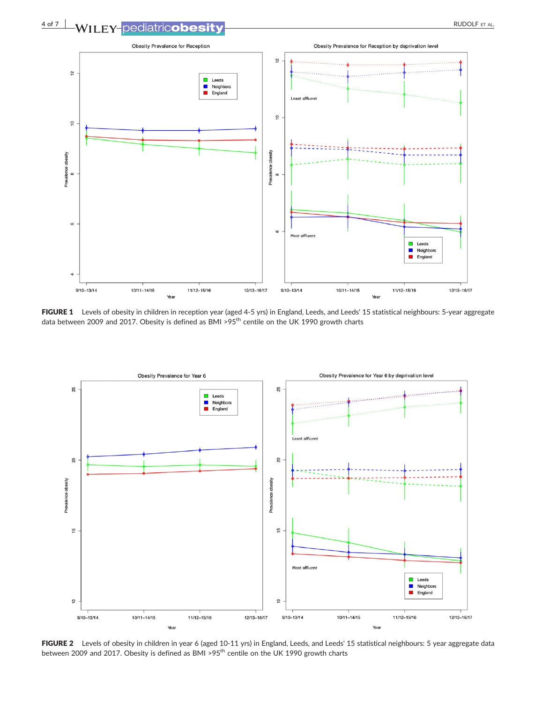

FIGURE 1 Levels of obesity in children in reception year (aged 4-5 yrs) in England, Leeds, and Leeds' 15 statistical neighbours: 5-year aggregate data between 2009 and 2017. Obesity is defined as BMI >95<sup>th</sup> centile on the UK 1990 growth charts



FIGURE 2 Levels of obesity in children in year 6 (aged 10-11 yrs) in England, Leeds, and Leeds' 15 statistical neighbours: 5 year aggregate data between 2009 and 2017. Obesity is defined as BMI >95<sup>th</sup> centile on the UK 1990 growth charts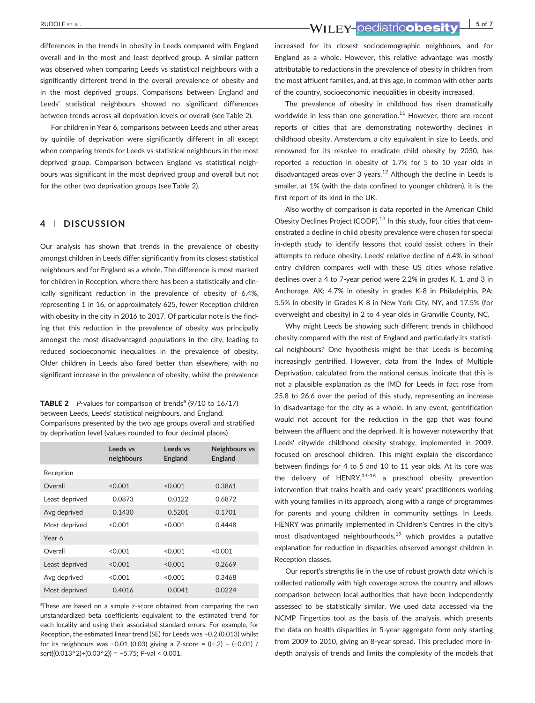differences in the trends in obesity in Leeds compared with England overall and in the most and least deprived group. A similar pattern was observed when comparing Leeds vs statistical neighbours with a significantly different trend in the overall prevalence of obesity and in the most deprived groups. Comparisons between England and Leeds' statistical neighbours showed no significant differences between trends across all deprivation levels or overall (see Table 2).

For children in Year 6, comparisons between Leeds and other areas by quintile of deprivation were significantly different in all except when comparing trends for Leeds vs statistical neighbours in the most deprived group. Comparison between England vs statistical neighbours was significant in the most deprived group and overall but not for the other two deprivation groups (see Table 2).

### 4 | DISCUSSION

Our analysis has shown that trends in the prevalence of obesity amongst children in Leeds differ significantly from its closest statistical neighbours and for England as a whole. The difference is most marked for children in Reception, where there has been a statistically and clinically significant reduction in the prevalence of obesity of 6.4%, representing 1 in 16, or approximately 625, fewer Reception children with obesity in the city in 2016 to 2017. Of particular note is the finding that this reduction in the prevalence of obesity was principally amongst the most disadvantaged populations in the city, leading to reduced socioeconomic inequalities in the prevalence of obesity. Older children in Leeds also fared better than elsewhere, with no significant increase in the prevalence of obesity, whilst the prevalence

**TABLE 2** P-values for comparison of trends<sup>a</sup>  $(9/10 \text{ to } 16/17)$ between Leeds, Leeds' statistical neighbours, and England. Comparisons presented by the two age groups overall and stratified by deprivation level (values rounded to four decimal places)

|                | Leeds vs<br>neighbours | Leeds vs<br><b>England</b> | Neighbours vs<br><b>England</b> |
|----------------|------------------------|----------------------------|---------------------------------|
| Reception      |                        |                            |                                 |
| Overall        | < 0.001                | < 0.001                    | 0.3861                          |
| Least deprived | 0.0873                 | 0.0122                     | 0.6872                          |
| Avg deprived   | 0.1430                 | 0.5201                     | 0.1701                          |
| Most deprived  | < 0.001                | < 0.001                    | 0.4448                          |
| Year 6         |                        |                            |                                 |
| Overall        | < 0.001                | < 0.001                    | < 0.001                         |
| Least deprived | < 0.001                | < 0.001                    | 0.2669                          |
| Avg deprived   | < 0.001                | < 0.001                    | 0.3468                          |
| Most deprived  | 0.4016                 | 0.0041                     | 0.0224                          |

<sup>a</sup>These are based on a simple z-score obtained from comparing the two unstandardized beta coefficients equivalent to the estimated trend for each locality and using their associated standard errors. For example, for Reception, the estimated linear trend (SE) for Leeds was −0.2 (0.013) whilst for its neighbours was −0.01 (0.03) giving a Z‐score = ((−.2) – (−0.01) / sqrt((0.013^2)+(0.03^2)) = -5.75; P-val < 0.001.

RUDOLF ET AL. **SOFT AL.** 5 of 7

increased for its closest sociodemographic neighbours, and for England as a whole. However, this relative advantage was mostly attributable to reductions in the prevalence of obesity in children from the most affluent families, and, at this age, in common with other parts of the country, socioeconomic inequalities in obesity increased.

The prevalence of obesity in childhood has risen dramatically worldwide in less than one generation. $11$  However, there are recent reports of cities that are demonstrating noteworthy declines in childhood obesity. Amsterdam, a city equivalent in size to Leeds, and renowned for its resolve to eradicate child obesity by 2030, has reported a reduction in obesity of 1.7% for 5 to 10 year olds in disadvantaged areas over 3 years.<sup>12</sup> Although the decline in Leeds is smaller, at 1% (with the data confined to younger children), it is the first report of its kind in the UK.

Also worthy of comparison is data reported in the American Child Obesity Declines Project (CODP).<sup>13</sup> In this study, four cities that demonstrated a decline in child obesity prevalence were chosen for special in‐depth study to identify lessons that could assist others in their attempts to reduce obesity. Leeds' relative decline of 6.4% in school entry children compares well with these US cities whose relative declines over a 4 to 7‐year period were 2.2% in grades K, 1, and 3 in Anchorage, AK; 4.7% in obesity in grades K‐8 in Philadelphia, PA; 5.5% in obesity in Grades K‐8 in New York City, NY, and 17.5% (for overweight and obesity) in 2 to 4 year olds in Granville County, NC.

Why might Leeds be showing such different trends in childhood obesity compared with the rest of England and particularly its statistical neighbours? One hypothesis might be that Leeds is becoming increasingly gentrified. However, data from the Index of Multiple Deprivation, calculated from the national census, indicate that this is not a plausible explanation as the IMD for Leeds in fact rose from 25.8 to 26.6 over the period of this study, representing an increase in disadvantage for the city as a whole. In any event, gentrification would not account for the reduction in the gap that was found between the affluent and the deprived. It is however noteworthy that Leeds' citywide childhood obesity strategy, implemented in 2009, focused on preschool children. This might explain the discordance between findings for 4 to 5 and 10 to 11 year olds. At its core was the delivery of  $HENRY$ ,  $14-18$  a preschool obesity prevention intervention that trains health and early years' practitioners working with young families in its approach, along with a range of programmes for parents and young children in community settings. In Leeds, HENRY was primarily implemented in Children's Centres in the city's most disadvantaged neighbourhoods, $19$  which provides a putative explanation for reduction in disparities observed amongst children in Reception classes.

Our report's strengths lie in the use of robust growth data which is collected nationally with high coverage across the country and allows comparison between local authorities that have been independently assessed to be statistically similar. We used data accessed via the NCMP Fingertips tool as the basis of the analysis, which presents the data on health disparities in 5‐year aggregate form only starting from 2009 to 2010, giving an 8‐year spread. This precluded more in‐ depth analysis of trends and limits the complexity of the models that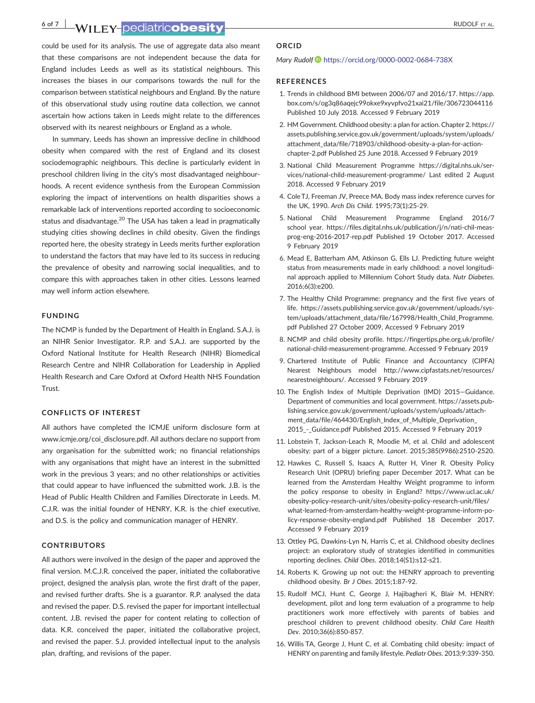6 of 7 WII FY-Dediatricobesity **Example 2008** 

could be used for its analysis. The use of aggregate data also meant that these comparisons are not independent because the data for England includes Leeds as well as its statistical neighbours. This increases the biases in our comparisons towards the null for the comparison between statistical neighbours and England. By the nature of this observational study using routine data collection, we cannot ascertain how actions taken in Leeds might relate to the differences observed with its nearest neighbours or England as a whole.

In summary, Leeds has shown an impressive decline in childhood obesity when compared with the rest of England and its closest sociodemographic neighbours. This decline is particularly evident in preschool children living in the city's most disadvantaged neighbourhoods. A recent evidence synthesis from the European Commission exploring the impact of interventions on health disparities shows a remarkable lack of interventions reported according to socioeconomic status and disadvantage.<sup>20</sup> The USA has taken a lead in pragmatically studying cities showing declines in child obesity. Given the findings reported here, the obesity strategy in Leeds merits further exploration to understand the factors that may have led to its success in reducing the prevalence of obesity and narrowing social inequalities, and to compare this with approaches taken in other cities. Lessons learned may well inform action elsewhere.

#### FUNDING

The NCMP is funded by the Department of Health in England. S.A.J. is an NIHR Senior Investigator. R.P. and S.A.J. are supported by the Oxford National Institute for Health Research (NIHR) Biomedical Research Centre and NIHR Collaboration for Leadership in Applied Health Research and Care Oxford at Oxford Health NHS Foundation Trust.

#### CONFLICTS OF INTEREST

All authors have completed the ICMJE uniform disclosure form at [www.icmje.org/coi\\_disclosure.pdf.](http://www.icmje.org/coi_disclosure.pdf) All authors declare no support from any organisation for the submitted work; no financial relationships with any organisations that might have an interest in the submitted work in the previous 3 years; and no other relationships or activities that could appear to have influenced the submitted work. J.B. is the Head of Public Health Children and Families Directorate in Leeds. M. C.J.R. was the initial founder of HENRY, K.R. is the chief executive, and D.S. is the policy and communication manager of HENRY.

#### CONTRIBUTORS

All authors were involved in the design of the paper and approved the final version. M.C.J.R. conceived the paper, initiated the collaborative project, designed the analysis plan, wrote the first draft of the paper, and revised further drafts. She is a guarantor. R.P. analysed the data and revised the paper. D.S. revised the paper for important intellectual content. J.B. revised the paper for content relating to collection of data. K.R. conceived the paper, initiated the collaborative project, and revised the paper. S.J. provided intellectual input to the analysis plan, drafting, and revisions of the paper.

#### ORCID

#### Mary Rudolf <https://orcid.org/0000-0002-0684-738X>

#### **REFERENCES**

- 1. Trends in childhood BMI between 2006/07 and 2016/17. [https://app.](https://app.box.com/s/og3q86aqejc99okxe9xyvpfvo21xai21/file/306723044116) [box.com/s/og3q86aqejc99okxe9xyvpfvo21xai21/file/306723044116](https://app.box.com/s/og3q86aqejc99okxe9xyvpfvo21xai21/file/306723044116) Published 10 July 2018. Accessed 9 February 2019
- 2. HM Government. Childhood obesity: a plan for action. Chapter 2. [https://](https://assets.publishing.service.gov.uk/government/uploads/system/uploads/attachment_data/file/718903/childhood-obesity-a-plan-for-action-chapter-2.pdf) [assets.publishing.service.gov.uk/government/uploads/system/uploads/](https://assets.publishing.service.gov.uk/government/uploads/system/uploads/attachment_data/file/718903/childhood-obesity-a-plan-for-action-chapter-2.pdf) [attachment\\_data/file/718903/childhood](https://assets.publishing.service.gov.uk/government/uploads/system/uploads/attachment_data/file/718903/childhood-obesity-a-plan-for-action-chapter-2.pdf)‐obesity‐a‐plan‐for‐action‐ [chapter](https://assets.publishing.service.gov.uk/government/uploads/system/uploads/attachment_data/file/718903/childhood-obesity-a-plan-for-action-chapter-2.pdf)‐2.pdf Published 25 June 2018. Accessed 9 February 2019
- 3. National Child Measurement Programme [https://digital.nhs.uk/ser](https://digital.nhs.uk/services/national-child-measurement-programme/)[vices/national](https://digital.nhs.uk/services/national-child-measurement-programme/)‐child‐measurement‐programme/ Last edited 2 August 2018. Accessed 9 February 2019
- 4. Cole TJ, Freeman JV, Preece MA. Body mass index reference curves for the UK, 1990. Arch Dis Child. 1995;73(1):25‐29.
- 5. National Child Measurement Programme England 2016/7 school year. [https://files.digital.nhs.uk/publication/j/n/nati](https://files.digital.nhs.uk/publication/j/n/nati-chil-meas-prog-eng-2016-2017-rep.pdf)-chil-measprog‐eng‐2016‐2017‐[rep.pdf](https://files.digital.nhs.uk/publication/j/n/nati-chil-meas-prog-eng-2016-2017-rep.pdf) Published 19 October 2017. Accessed 9 February 2019
- 6. Mead E, Batterham AM, Atkinson G, Ells LJ. Predicting future weight status from measurements made in early childhood: a novel longitudinal approach applied to Millennium Cohort Study data. Nutr Diabetes. 2016;6(3):e200.
- 7. The Healthy Child Programme: pregnancy and the first five years of life. [https://assets.publishing.service.gov.uk/government/uploads/sys](https://assets.publishing.service.gov.uk/government/uploads/system/uploads/attachment_data/file/167998/Health_Child_Programme.pdf)[tem/uploads/attachment\\_data/file/167998/Health\\_Child\\_Programme.](https://assets.publishing.service.gov.uk/government/uploads/system/uploads/attachment_data/file/167998/Health_Child_Programme.pdf) [pdf](https://assets.publishing.service.gov.uk/government/uploads/system/uploads/attachment_data/file/167998/Health_Child_Programme.pdf) Published 27 October 2009, Accessed 9 February 2019
- 8. NCMP and child obesity profile. [https://fingertips.phe.org.uk/profile/](https://fingertips.phe.org.uk/profile/national-child-measurement-programme) national‐child‐[measurement](https://fingertips.phe.org.uk/profile/national-child-measurement-programme)‐programme. Accessed 9 February 2019
- 9. Chartered Institute of Public Finance and Accountancy (CIPFA) Nearest Neighbours model [http://www.cipfastats.net/resources/](http://www.cipfastats.net/resources/nearestneighbours/) [nearestneighbours/](http://www.cipfastats.net/resources/nearestneighbours/). Accessed 9 February 2019
- 10. The English Index of Multiple Deprivation (IMD) 2015—Guidance. Department of communities and local government. [https://assets.pub](https://assets.publishing.service.gov.uk/government/uploads/system/uploads/attachment_data/file/464430/English_Index_of_Multiple_Deprivation_2015_-_Guidance.pdf)[lishing.service.gov.uk/government/uploads/system/uploads/attach](https://assets.publishing.service.gov.uk/government/uploads/system/uploads/attachment_data/file/464430/English_Index_of_Multiple_Deprivation_2015_-_Guidance.pdf)[ment\\_data/file/464430/English\\_Index\\_of\\_Multiple\\_Deprivation\\_](https://assets.publishing.service.gov.uk/government/uploads/system/uploads/attachment_data/file/464430/English_Index_of_Multiple_Deprivation_2015_-_Guidance.pdf) 2015\_‐[\\_Guidance.pdf](https://assets.publishing.service.gov.uk/government/uploads/system/uploads/attachment_data/file/464430/English_Index_of_Multiple_Deprivation_2015_-_Guidance.pdf) Published 2015. Accessed 9 February 2019
- 11. Lobstein T, Jackson‐Leach R, Moodie M, et al. Child and adolescent obesity: part of a bigger picture. Lancet. 2015;385(9986):2510‐2520.
- 12. Hawkes C, Russell S, Isaacs A, Rutter H, Viner R. Obesity Policy Research Unit (OPRU) briefing paper December 2017. What can be learned from the Amsterdam Healthy Weight programme to inform the policy response to obesity in England? [https://www.ucl.ac.uk/](https://www.ucl.ac.uk/obesity-policy-research-unit/sites/obesity-policy-research-unit/files/what-learned-from-amsterdam-healthy-weight-programme-inform-policy-response-obesity-england.pdf) obesity‐policy‐research‐[unit/sites/obesity](https://www.ucl.ac.uk/obesity-policy-research-unit/sites/obesity-policy-research-unit/files/what-learned-from-amsterdam-healthy-weight-programme-inform-policy-response-obesity-england.pdf)‐policy‐research‐unit/files/ what-learned-from-amsterdam-healthy-weight-[programme](https://www.ucl.ac.uk/obesity-policy-research-unit/sites/obesity-policy-research-unit/files/what-learned-from-amsterdam-healthy-weight-programme-inform-policy-response-obesity-england.pdf)-inform-policy‐response‐obesity‐[england.pdf](https://www.ucl.ac.uk/obesity-policy-research-unit/sites/obesity-policy-research-unit/files/what-learned-from-amsterdam-healthy-weight-programme-inform-policy-response-obesity-england.pdf) Published 18 December 2017. Accessed 9 February 2019
- 13. Ottley PG, Dawkins‐Lyn N, Harris C, et al. Childhood obesity declines project: an exploratory study of strategies identified in communities reporting declines. Child Obes. 2018;14(S1):s12‐s21.
- 14. Roberts K. Growing up not out: the HENRY approach to preventing childhood obesity. Br J Obes. 2015;1:87‐92.
- 15. Rudolf MCJ, Hunt C, George J, Hajibagheri K, Blair M. HENRY: development, pilot and long term evaluation of a programme to help practitioners work more effectively with parents of babies and preschool children to prevent childhood obesity. Child Care Health Dev. 2010;36(6):850‐857.
- 16. Willis TA, George J, Hunt C, et al. Combating child obesity: impact of HENRY on parenting and family lifestyle. Pediatr Obes. 2013;9:339‐350.